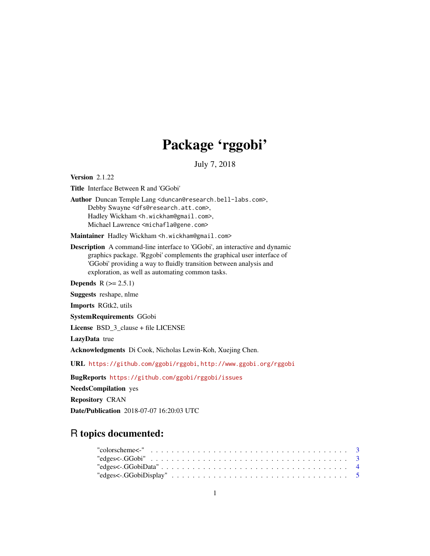## Package 'rggobi'

July 7, 2018

<span id="page-0-0"></span>Version 2.1.22

Title Interface Between R and 'GGobi'

Author Duncan Temple Lang <duncan@research.bell-labs.com>, Debby Swayne <dfs@research.att.com>, Hadley Wickham <h.wickham@gmail.com>, Michael Lawrence <michafla@gene.com>

Maintainer Hadley Wickham <h.wickham@gmail.com>

Description A command-line interface to 'GGobi', an interactive and dynamic graphics package. 'Rggobi' complements the graphical user interface of 'GGobi' providing a way to fluidly transition between analysis and exploration, as well as automating common tasks.

**Depends**  $R (= 2.5.1)$ 

Suggests reshape, nlme

Imports RGtk2, utils

SystemRequirements GGobi

License BSD\_3\_clause + file LICENSE

LazyData true

Acknowledgments Di Cook, Nicholas Lewin-Koh, Xuejing Chen.

URL <https://github.com/ggobi/rggobi>, <http://www.ggobi.org/rggobi>

BugReports <https://github.com/ggobi/rggobi/issues>

NeedsCompilation yes

Repository CRAN

Date/Publication 2018-07-07 16:20:03 UTC

## R topics documented: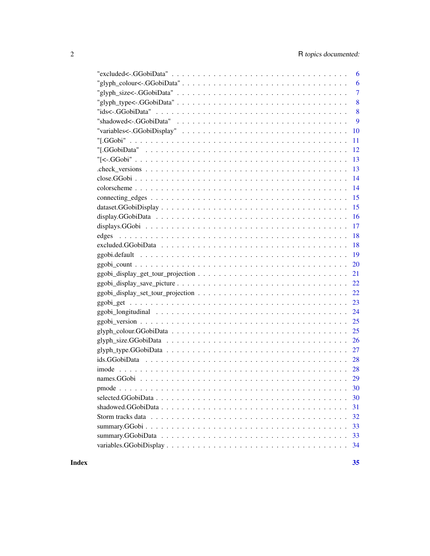| 6                                                                                                                                                                                                                                   |
|-------------------------------------------------------------------------------------------------------------------------------------------------------------------------------------------------------------------------------------|
| 6                                                                                                                                                                                                                                   |
| 7                                                                                                                                                                                                                                   |
| 8                                                                                                                                                                                                                                   |
| 8                                                                                                                                                                                                                                   |
| 9                                                                                                                                                                                                                                   |
| 10                                                                                                                                                                                                                                  |
| 11                                                                                                                                                                                                                                  |
| 12                                                                                                                                                                                                                                  |
| 13                                                                                                                                                                                                                                  |
| 13                                                                                                                                                                                                                                  |
| 14                                                                                                                                                                                                                                  |
| 14                                                                                                                                                                                                                                  |
| 15                                                                                                                                                                                                                                  |
| 15                                                                                                                                                                                                                                  |
| 16                                                                                                                                                                                                                                  |
| 17                                                                                                                                                                                                                                  |
| 18                                                                                                                                                                                                                                  |
| 18                                                                                                                                                                                                                                  |
| 19                                                                                                                                                                                                                                  |
| 20                                                                                                                                                                                                                                  |
| 21                                                                                                                                                                                                                                  |
| 22                                                                                                                                                                                                                                  |
|                                                                                                                                                                                                                                     |
| 23                                                                                                                                                                                                                                  |
| 24                                                                                                                                                                                                                                  |
| 25                                                                                                                                                                                                                                  |
| $glyph\_colour.GGobiData \ldots \ldots \ldots \ldots \ldots \ldots \ldots \ldots \ldots \ldots \ldots$<br>25                                                                                                                        |
| 26                                                                                                                                                                                                                                  |
| 27                                                                                                                                                                                                                                  |
|                                                                                                                                                                                                                                     |
|                                                                                                                                                                                                                                     |
|                                                                                                                                                                                                                                     |
| 29                                                                                                                                                                                                                                  |
| 30                                                                                                                                                                                                                                  |
| 30                                                                                                                                                                                                                                  |
| 31                                                                                                                                                                                                                                  |
| 32<br>Storm tracks data response to the contract of the contract of the contract of the contract of the contract of the contract of the contract of the contract of the contract of the contract of the contract of the contract of |
| 33                                                                                                                                                                                                                                  |
| 33                                                                                                                                                                                                                                  |
| 34                                                                                                                                                                                                                                  |

**Index** [35](#page-34-0)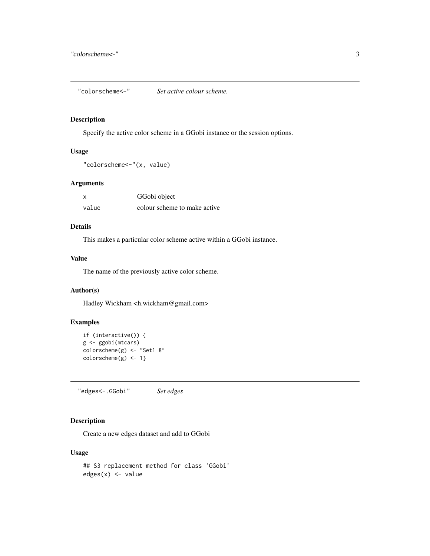<span id="page-2-0"></span>"colorscheme<-" *Set active colour scheme.*

## Description

Specify the active color scheme in a GGobi instance or the session options.

#### Usage

```
"colorscheme<-"(x, value)
```
## Arguments

| x     | GGobi object                 |
|-------|------------------------------|
| value | colour scheme to make active |

## Details

This makes a particular color scheme active within a GGobi instance.

#### Value

The name of the previously active color scheme.

## Author(s)

Hadley Wickham <h.wickham@gmail.com>

#### Examples

```
if (interactive()) {
g <- ggobi(mtcars)
colorscheme(g) <- "Set1 8"
colorscheme(g) <- 1}
```
"edges<-.GGobi" *Set edges*

## Description

Create a new edges dataset and add to GGobi

## Usage

```
## S3 replacement method for class 'GGobi'
edges(x) <- value
```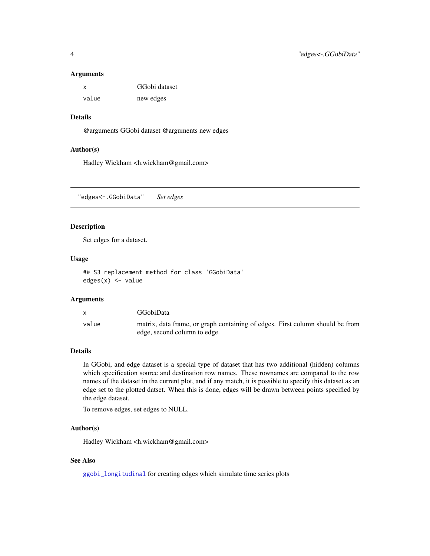#### <span id="page-3-0"></span>**Arguments**

| X     | GGobi dataset |
|-------|---------------|
| value | new edges     |

## Details

@arguments GGobi dataset @arguments new edges

#### Author(s)

Hadley Wickham <h.wickham@gmail.com>

"edges<-.GGobiData" *Set edges*

#### Description

Set edges for a dataset.

#### Usage

## S3 replacement method for class 'GGobiData' edges(x) <- value

#### Arguments

|       | <b>GGobiData</b>                                                              |
|-------|-------------------------------------------------------------------------------|
| value | matrix, data frame, or graph containing of edges. First column should be from |
|       | edge, second column to edge.                                                  |

#### Details

In GGobi, and edge dataset is a special type of dataset that has two additional (hidden) columns which specification source and destination row names. These rownames are compared to the row names of the dataset in the current plot, and if any match, it is possible to specify this dataset as an edge set to the plotted datset. When this is done, edges will be drawn between points specified by the edge dataset.

To remove edges, set edges to NULL.

## Author(s)

Hadley Wickham <h.wickham@gmail.com>

## See Also

[ggobi\\_longitudinal](#page-23-1) for creating edges which simulate time series plots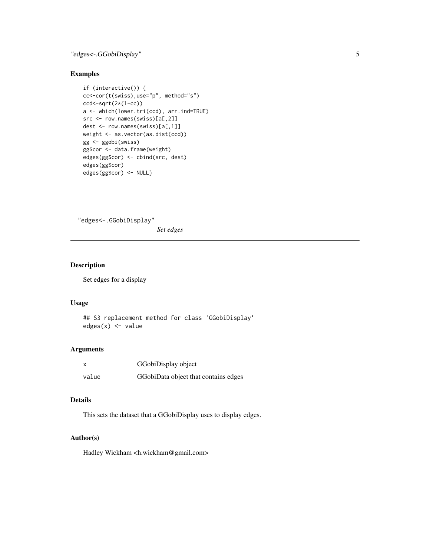## <span id="page-4-0"></span>"edges<-.GGobiDisplay" 5

## Examples

```
if (interactive()) {
cc<-cor(t(swiss),use="p", method="s")
ccd < -sqrt(2*(1-cc))a <- which(lower.tri(ccd), arr.ind=TRUE)
src <- row.names(swiss)[a[,2]]
dest <- row.names(swiss)[a[,1]]
weight <- as.vector(as.dist(ccd))
gg <- ggobi(swiss)
gg$cor <- data.frame(weight)
edges(gg$cor) <- cbind(src, dest)
edges(gg$cor)
edges(gg$cor) <- NULL}
```
"edges<-.GGobiDisplay" *Set edges*

## Description

Set edges for a display

## Usage

```
## S3 replacement method for class 'GGobiDisplay'
edges(x) <- value
```
#### Arguments

| x     | GGobiDisplay object                  |
|-------|--------------------------------------|
| value | GGobiData object that contains edges |

## Details

This sets the dataset that a GGobiDisplay uses to display edges.

## Author(s)

Hadley Wickham <h.wickham@gmail.com>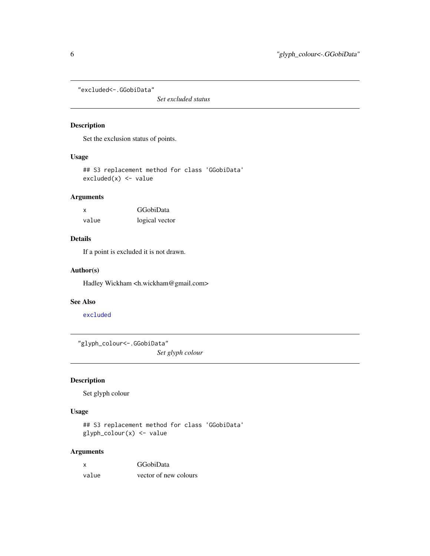<span id="page-5-0"></span>"excluded<-.GGobiData"

*Set excluded status*

## Description

Set the exclusion status of points.

## Usage

## S3 replacement method for class 'GGobiData'  $excluded(x) < - value$ 

## Arguments

| X     | <b>GGobiData</b> |
|-------|------------------|
| value | logical vector   |

## Details

If a point is excluded it is not drawn.

## Author(s)

Hadley Wickham <h.wickham@gmail.com>

## See Also

[excluded](#page-0-0)

"glyph\_colour<-.GGobiData"

*Set glyph colour*

## <span id="page-5-1"></span>Description

Set glyph colour

#### Usage

## S3 replacement method for class 'GGobiData' glyph\_colour(x) <- value

## Arguments

| x     | <b>GGobiData</b>      |
|-------|-----------------------|
| value | vector of new colours |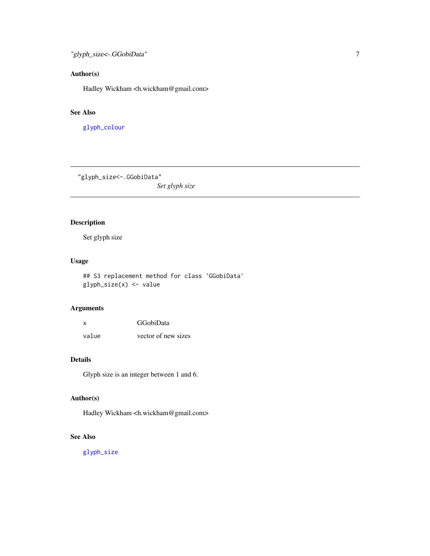## <span id="page-6-0"></span>Author(s)

Hadley Wickham <h.wickham@gmail.com>

## See Also

[glyph\\_colour](#page-24-1)

"glyph\_size<-.GGobiData"

*Set glyph size*

## <span id="page-6-1"></span>Description

Set glyph size

## Usage

## S3 replacement method for class 'GGobiData' glyph\_size(x) <- value

## Arguments

| x     | <b>GGobiData</b>    |
|-------|---------------------|
| value | vector of new sizes |

## Details

Glyph size is an integer between 1 and 6.

## Author(s)

Hadley Wickham <h.wickham@gmail.com>

## See Also

[glyph\\_size](#page-25-1)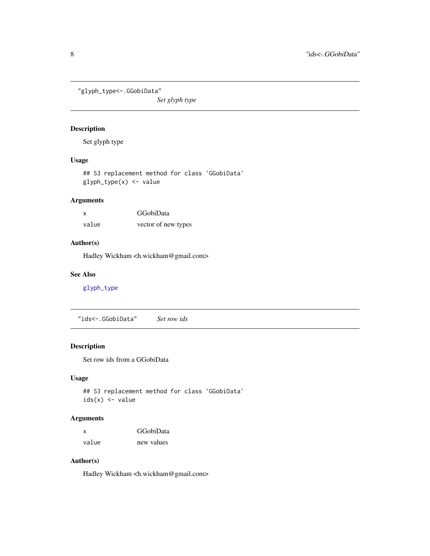<span id="page-7-0"></span>"glyph\_type<-.GGobiData"

*Set glyph type*

## <span id="page-7-1"></span>Description

Set glyph type

## Usage

## S3 replacement method for class 'GGobiData' glyph\_type(x) <- value

## Arguments

| X     | GGobiData           |
|-------|---------------------|
| value | vector of new types |

## Author(s)

Hadley Wickham <h.wickham@gmail.com>

## See Also

[glyph\\_type](#page-26-1)

"ids<-.GGobiData" *Set row ids*

## <span id="page-7-2"></span>Description

Set row ids from a GGobiData

## Usage

```
## S3 replacement method for class 'GGobiData'
ids(x) \leq value
```
## Arguments

| x     | <b>GGobiData</b> |
|-------|------------------|
| value | new values       |

## Author(s)

Hadley Wickham <h.wickham@gmail.com>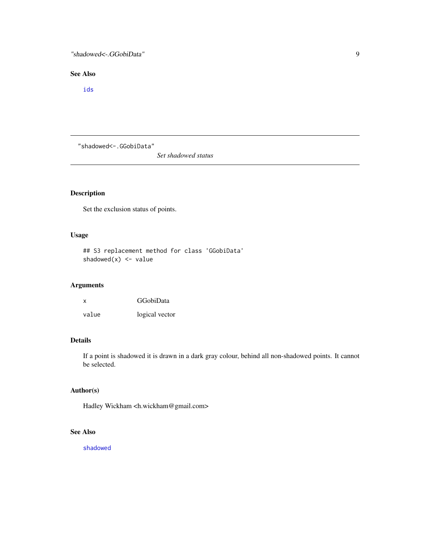## <span id="page-8-0"></span>"shadowed<-.GGobiData" 9

## See Also

[ids](#page-27-1)

"shadowed<-.GGobiData"

*Set shadowed status*

## <span id="page-8-1"></span>Description

Set the exclusion status of points.

## Usage

## S3 replacement method for class 'GGobiData' shadowed $(x)$  <- value

## Arguments

| x     | <b>GGobiData</b> |
|-------|------------------|
| value | logical vector   |

## Details

If a point is shadowed it is drawn in a dark gray colour, behind all non-shadowed points. It cannot be selected.

## Author(s)

Hadley Wickham <h.wickham@gmail.com>

#### See Also

[shadowed](#page-30-1)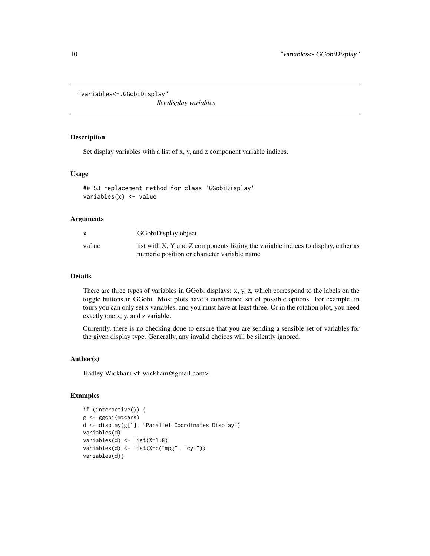```
"variables<-.GGobiDisplay"
```
*Set display variables*

#### <span id="page-9-1"></span>Description

Set display variables with a list of x, y, and z component variable indices.

#### Usage

```
## S3 replacement method for class 'GGobiDisplay'
variables(x) <- value
```
#### Arguments

|       | GGobiDisplay object                                                                |
|-------|------------------------------------------------------------------------------------|
| value | list with X, Y and Z components listing the variable indices to display, either as |
|       | numeric position or character variable name                                        |

#### Details

There are three types of variables in GGobi displays: x, y, z, which correspond to the labels on the toggle buttons in GGobi. Most plots have a constrained set of possible options. For example, in tours you can only set x variables, and you must have at least three. Or in the rotation plot, you need exactly one x, y, and z variable.

Currently, there is no checking done to ensure that you are sending a sensible set of variables for the given display type. Generally, any invalid choices will be silently ignored.

## Author(s)

Hadley Wickham <h.wickham@gmail.com>

```
if (interactive()) {
g <- ggobi(mtcars)
d <- display(g[1], "Parallel Coordinates Display")
variables(d)
variables(d) <- list(X=1:8)
variables(d) <- list(X=c("mpg", "cyl"))
variables(d)}
```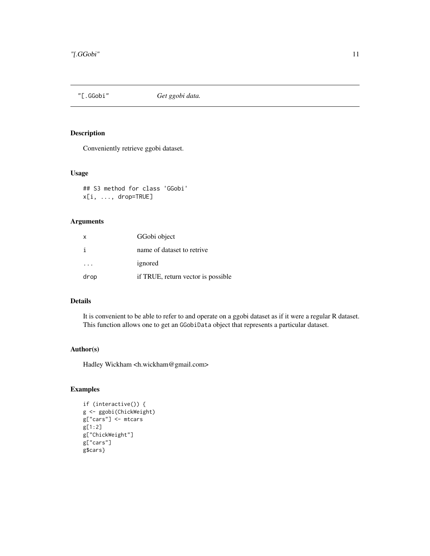<span id="page-10-0"></span>

## <span id="page-10-1"></span>Description

Conveniently retrieve ggobi dataset.

## Usage

## S3 method for class 'GGobi' x[i, ..., drop=TRUE]

## Arguments

| X    | GGobi object                       |
|------|------------------------------------|
| j.   | name of dataset to retrive         |
|      | ignored                            |
| drop | if TRUE, return vector is possible |

## Details

It is convenient to be able to refer to and operate on a ggobi dataset as if it were a regular R dataset. This function allows one to get an GGobiData object that represents a particular dataset.

## Author(s)

Hadley Wickham <h.wickham@gmail.com>

```
if (interactive()) {
g <- ggobi(ChickWeight)
g["cars"] <- mtcars
g[1:2]
g["ChickWeight"]
g["cars"]
g$cars}
```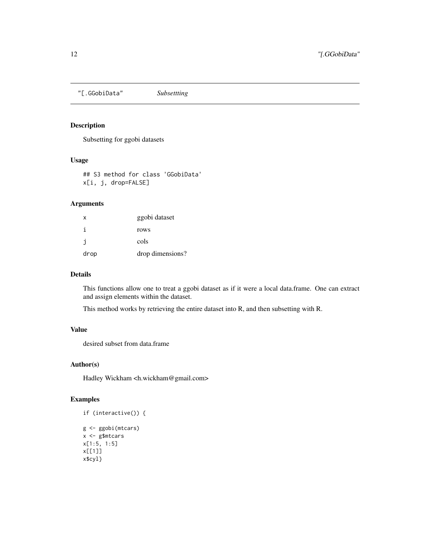<span id="page-11-0"></span>"[.GGobiData" *Subsettting*

## <span id="page-11-1"></span>Description

Subsetting for ggobi datasets

#### Usage

## S3 method for class 'GGobiData' x[i, j, drop=FALSE]

#### Arguments

| $\times$ | ggobi dataset    |
|----------|------------------|
| i        | rows             |
| j        | cols             |
| drop     | drop dimensions? |

## Details

This functions allow one to treat a ggobi dataset as if it were a local data.frame. One can extract and assign elements within the dataset.

This method works by retrieving the entire dataset into R, and then subsetting with R.

## Value

desired subset from data.frame

#### Author(s)

Hadley Wickham <h.wickham@gmail.com>

```
if (interactive()) {
g <- ggobi(mtcars)
x <- g$mtcars
x[1:5, 1:5]
x[[1]]
x$cyl}
```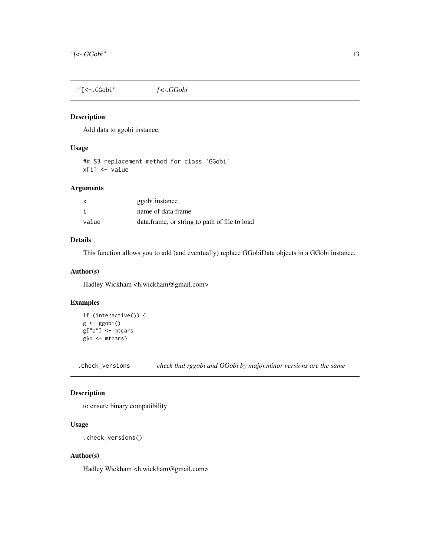<span id="page-12-0"></span>"[<-.GGobi" *[<-.GGobi*

## <span id="page-12-1"></span>Description

Add data to ggobi instance.

#### Usage

## S3 replacement method for class 'GGobi' x[i] <- value

## Arguments

| $\mathsf{x}$ | ggobi instance                                |
|--------------|-----------------------------------------------|
|              | name of data frame                            |
| value        | data.frame, or string to path of file to load |

## Details

This function allows you to add (and eventually) replace GGobiData objects in a GGobi instance.

#### Author(s)

Hadley Wickham <h.wickham@gmail.com>

#### Examples

```
if (interactive()) {
g <- ggobi()
g['a''] <- mtcars
g$b <- mtcars}
```
.check\_versions *check that rggobi and GGobi by major.minor versions are the same*

## Description

to ensure binary compatibility

## Usage

```
.check_versions()
```
## Author(s)

Hadley Wickham <h.wickham@gmail.com>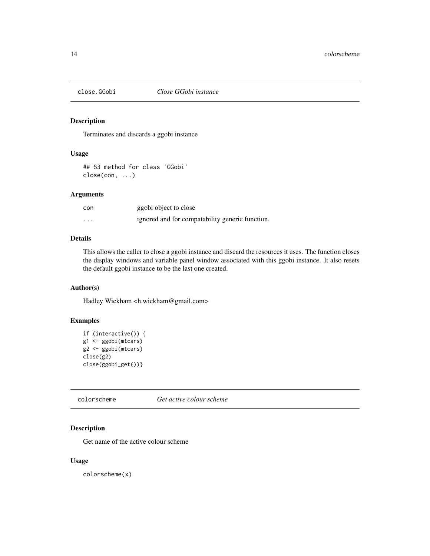<span id="page-13-0"></span>

## Description

Terminates and discards a ggobi instance

## Usage

```
## S3 method for class 'GGobi'
close(con, ...)
```
## Arguments

| con      | ggobi object to close                           |
|----------|-------------------------------------------------|
| $\cdots$ | ignored and for compatability generic function. |

## Details

This allows the caller to close a ggobi instance and discard the resources it uses. The function closes the display windows and variable panel window associated with this ggobi instance. It also resets the default ggobi instance to be the last one created.

## Author(s)

Hadley Wickham <h.wickham@gmail.com>

## Examples

```
if (interactive()) {
g1 <- ggobi(mtcars)
g2 <- ggobi(mtcars)
close(g2)
close(ggobi_get())}
```
colorscheme *Get active colour scheme*

## **Description**

Get name of the active colour scheme

## Usage

colorscheme(x)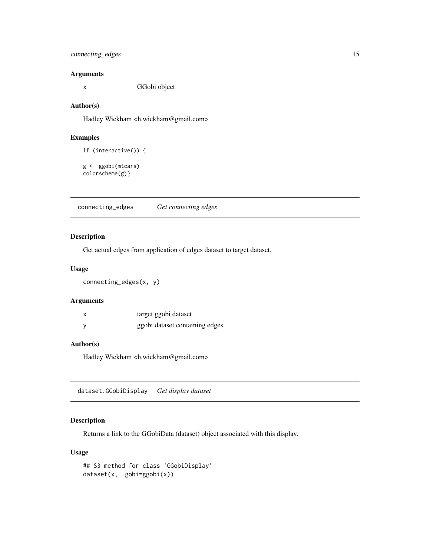```
connecting_edges 15
```
#### Arguments

x GGobi object

#### Author(s)

Hadley Wickham <h.wickham@gmail.com>

## Examples

```
if (interactive()) {
g <- ggobi(mtcars)
colorscheme(g)}
```
connecting\_edges *Get connecting edges*

## Description

Get actual edges from application of edges dataset to target dataset.

#### Usage

connecting\_edges(x, y)

## Arguments

| x | target ggobi dataset           |
|---|--------------------------------|
| V | ggobi dataset containing edges |

## Author(s)

Hadley Wickham <h.wickham@gmail.com>

dataset.GGobiDisplay *Get display dataset*

## Description

Returns a link to the GGobiData (dataset) object associated with this display.

## Usage

```
## S3 method for class 'GGobiDisplay'
dataset(x, .gobi=ggobi(x))
```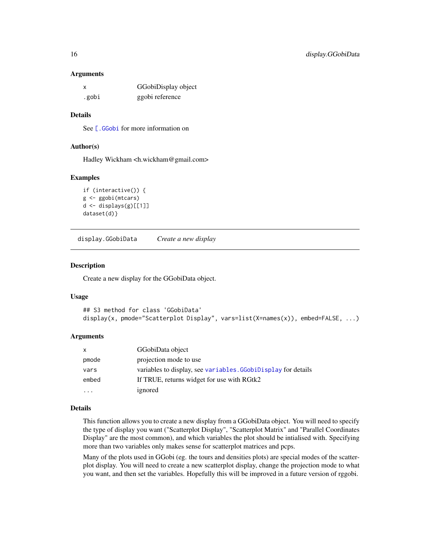#### <span id="page-15-0"></span>**Arguments**

|       | GGobiDisplay object |
|-------|---------------------|
| .gobi | ggobi reference     |

## Details

See [\[.GGobi](#page-10-1) for more information on

## Author(s)

Hadley Wickham <h.wickham@gmail.com>

#### Examples

```
if (interactive()) {
g <- ggobi(mtcars)
d \leftarrow displays(g)[[1]]
dataset(d) }
```
display.GGobiData *Create a new display*

## Description

Create a new display for the GGobiData object.

## Usage

```
## S3 method for class 'GGobiData'
display(x, pmode="Scatterplot Display", vars=list(X=names(x)), embed=FALSE, ...)
```
#### Arguments

| X     | GGobiData object                                              |
|-------|---------------------------------------------------------------|
| pmode | projection mode to use                                        |
| vars  | variables to display, see variables. GGobiDisplay for details |
| embed | If TRUE, returns widget for use with RGtk2                    |
|       | ignored                                                       |

#### Details

This function allows you to create a new display from a GGobiData object. You will need to specify the type of display you want ("Scatterplot Display", "Scatterplot Matrix" and "Parallel Coordinates Display" are the most common), and which variables the plot should be intialised with. Specifying more than two variables only makes sense for scatterplot matrices and pcps.

Many of the plots used in GGobi (eg. the tours and densities plots) are special modes of the scatterplot display. You will need to create a new scatterplot display, change the projection mode to what you want, and then set the variables. Hopefully this will be improved in a future version of rggobi.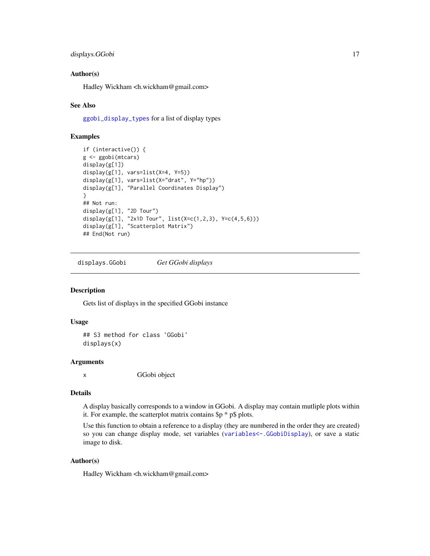## <span id="page-16-0"></span>displays.GGobi 17

#### Author(s)

Hadley Wickham <h.wickham@gmail.com>

#### See Also

[ggobi\\_display\\_types](#page-0-0) for a list of display types

#### Examples

```
if (interactive()) {
g <- ggobi(mtcars)
display(g[1])
display(g[1], vars=list(X=4, Y=5))
display(g[1], vars=list(X="drat", Y="hp"))
display(g[1], "Parallel Coordinates Display")
}
## Not run:
display(g[1], "2D Tour")
display(g[1], "2x1D Tour", list(X=c(1,2,3), Y=c(4,5,6)))
display(g[1], "Scatterplot Matrix")
## End(Not run)
```
displays.GGobi *Get GGobi displays*

#### Description

Gets list of displays in the specified GGobi instance

#### Usage

```
## S3 method for class 'GGobi'
displays(x)
```
#### Arguments

x GGobi object

#### Details

A display basically corresponds to a window in GGobi. A display may contain mutliple plots within it. For example, the scatterplot matrix contains  $\wp * p\$  plots.

Use this function to obtain a reference to a display (they are numbered in the order they are created) so you can change display mode, set variables (variables <-. GGobiDisplay), or save a static image to disk.

#### Author(s)

Hadley Wickham <h.wickham@gmail.com>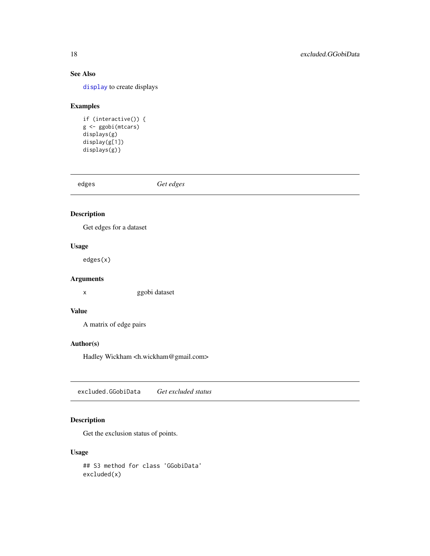## See Also

[display](#page-0-0) to create displays

## Examples

```
if (interactive()) {
g <- ggobi(mtcars)
displays(g)
display(g[1])
displays(g)}
```
<span id="page-17-1"></span>

| edges | Get edges |
|-------|-----------|
|       |           |

## Description

Get edges for a dataset

## Usage

edges(x)

#### Arguments

x ggobi dataset

## Value

A matrix of edge pairs

## Author(s)

Hadley Wickham <h.wickham@gmail.com>

excluded.GGobiData *Get excluded status*

## Description

Get the exclusion status of points.

## Usage

## S3 method for class 'GGobiData' excluded(x)

<span id="page-17-0"></span>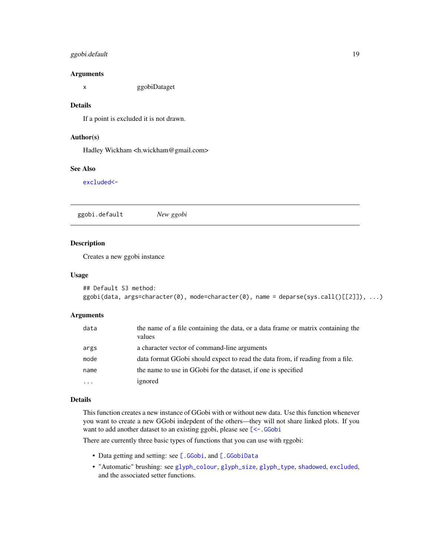## <span id="page-18-0"></span>ggobi.default 19

#### Arguments

x ggobiDataget

#### Details

If a point is excluded it is not drawn.

## Author(s)

Hadley Wickham <h.wickham@gmail.com>

#### See Also

[excluded<-](#page-0-0)

ggobi.default *New ggobi*

## Description

Creates a new ggobi instance

#### Usage

```
## Default S3 method:
ggobi(data, args=character(0), mode=character(0), name = deparse(sys.call()[[2]]), ...)
```
#### Arguments

| data | the name of a file containing the data, or a data frame or matrix containing the<br>values |
|------|--------------------------------------------------------------------------------------------|
| args | a character vector of command-line arguments                                               |
| mode | data format GGobi should expect to read the data from, if reading from a file.             |
| name | the name to use in GGobi for the dataset, if one is specified                              |
|      | ignored                                                                                    |

#### Details

This function creates a new instance of GGobi with or without new data. Use this function whenever you want to create a new GGobi indepdent of the others—they will not share linked plots. If you want to add another dataset to an existing ggobi, please see [<-. GGobi

There are currently three basic types of functions that you can use with rggobi:

- Data getting and setting: see [\[.GGobi](#page-10-1), and [\[.GGobiData](#page-11-1)
- "Automatic" brushing: see [glyph\\_colour](#page-24-1), [glyph\\_size](#page-25-1), [glyph\\_type](#page-26-1), [shadowed](#page-30-1), [excluded](#page-0-0), and the associated setter functions.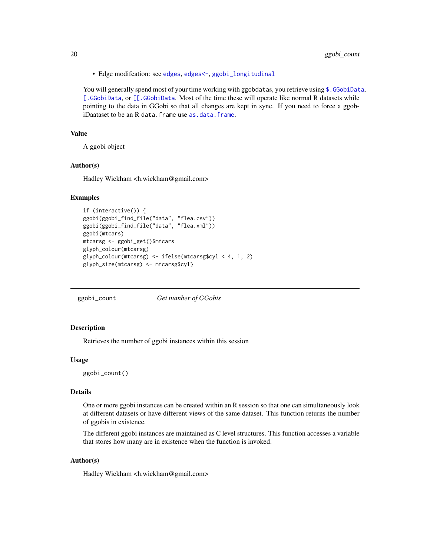<span id="page-19-0"></span>• Edge modifcation: see [edges](#page-17-1), [edges<-](#page-0-0), [ggobi\\_longitudinal](#page-23-1)

You will generally spend most of your time working with ggobdatas, you retrieve using \$. GGobiData, [\[.GGobiData](#page-11-1), or [\[\[.GGobiData](#page-11-1). Most of the time these will operate like normal R datasets while pointing to the data in GGobi so that all changes are kept in sync. If you need to force a ggobiDaataset to be an R data.frame use [as.data.frame](#page-0-0).

#### Value

A ggobi object

## Author(s)

Hadley Wickham <h.wickham@gmail.com>

#### Examples

```
if (interactive()) {
ggobi(ggobi_find_file("data", "flea.csv"))
ggobi(ggobi_find_file("data", "flea.xml"))
ggobi(mtcars)
mtcarsg <- ggobi_get()$mtcars
glyph_colour(mtcarsg)
glyph_colour(mtcarsg) <- ifelse(mtcarsg$cyl < 4, 1, 2)
glyph_size(mtcarsg) <- mtcarsg$cyl}
```
ggobi\_count *Get number of GGobis*

#### **Description**

Retrieves the number of ggobi instances within this session

#### Usage

```
ggobi_count()
```
#### Details

One or more ggobi instances can be created within an R session so that one can simultaneously look at different datasets or have different views of the same dataset. This function returns the number of ggobis in existence.

The different ggobi instances are maintained as C level structures. This function accesses a variable that stores how many are in existence when the function is invoked.

#### Author(s)

Hadley Wickham <h.wickham@gmail.com>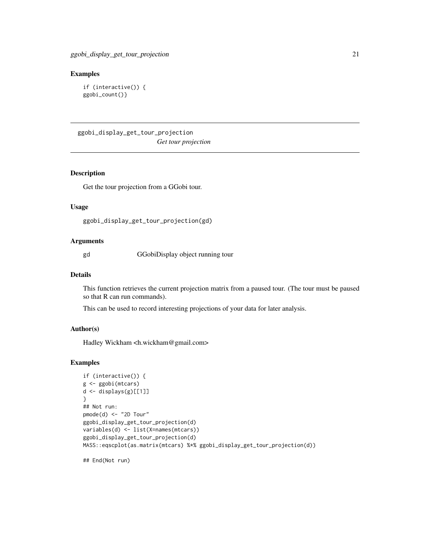## <span id="page-20-0"></span>Examples

```
if (interactive()) {
ggobi_count()}
```
ggobi\_display\_get\_tour\_projection *Get tour projection*

## Description

Get the tour projection from a GGobi tour.

#### Usage

ggobi\_display\_get\_tour\_projection(gd)

#### Arguments

gd GGobiDisplay object running tour

#### Details

This function retrieves the current projection matrix from a paused tour. (The tour must be paused so that R can run commands).

This can be used to record interesting projections of your data for later analysis.

## Author(s)

Hadley Wickham <h.wickham@gmail.com>

## Examples

```
if (interactive()) {
g <- ggobi(mtcars)
d <- displays(g)[[1]]
}
## Not run:
pmode(d) <- "2D Tour"
ggobi_display_get_tour_projection(d)
variables(d) <- list(X=names(mtcars))
ggobi_display_get_tour_projection(d)
MASS::eqscplot(as.matrix(mtcars) %*% ggobi_display_get_tour_projection(d))
```
## End(Not run)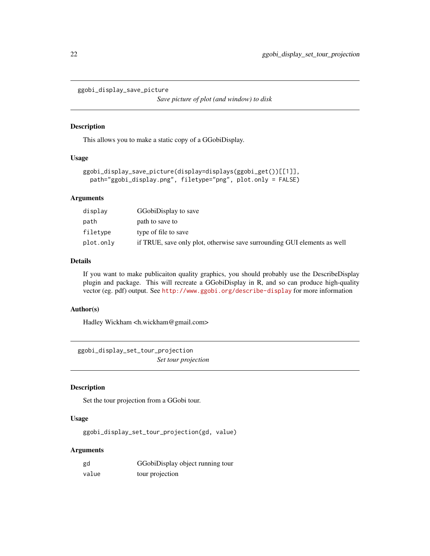```
ggobi_display_save_picture
```
*Save picture of plot (and window) to disk*

## Description

This allows you to make a static copy of a GGobiDisplay.

## Usage

```
ggobi_display_save_picture(display=displays(ggobi_get())[[1]],
 path="ggobi_display.png", filetype="png", plot.only = FALSE)
```
## Arguments

| displav   | GGobiDisplay to save                                                     |
|-----------|--------------------------------------------------------------------------|
| path      | path to save to                                                          |
| filetype  | type of file to save                                                     |
| plot.onlv | if TRUE, save only plot, otherwise save surrounding GUI elements as well |

#### Details

If you want to make publicaiton quality graphics, you should probably use the DescribeDisplay plugin and package. This will recreate a GGobiDisplay in R, and so can produce high-quality vector (eg. pdf) output. See <http://www.ggobi.org/describe-display> for more information

## Author(s)

Hadley Wickham <h.wickham@gmail.com>

ggobi\_display\_set\_tour\_projection *Set tour projection*

## Description

Set the tour projection from a GGobi tour.

#### Usage

ggobi\_display\_set\_tour\_projection(gd, value)

#### Arguments

| gd    | GGobiDisplay object running tour |
|-------|----------------------------------|
| value | tour projection                  |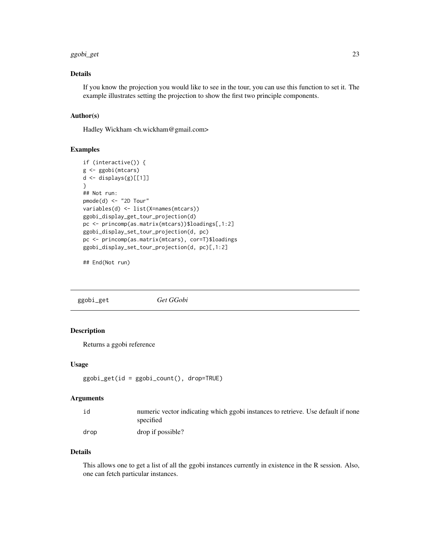#### <span id="page-22-0"></span>ggobi\_get 23

## Details

If you know the projection you would like to see in the tour, you can use this function to set it. The example illustrates setting the projection to show the first two principle components.

## Author(s)

Hadley Wickham <h.wickham@gmail.com>

#### Examples

```
if (interactive()) {
g <- ggobi(mtcars)
d <- displays(g)[[1]]
}
## Not run:
pmode(d) <- "2D Tour"
variables(d) <- list(X=names(mtcars))
ggobi_display_get_tour_projection(d)
pc <- princomp(as.matrix(mtcars))$loadings[,1:2]
ggobi_display_set_tour_projection(d, pc)
pc <- princomp(as.matrix(mtcars), cor=T)$loadings
ggobi_display_set_tour_projection(d, pc)[,1:2]
```
## End(Not run)

ggobi\_get *Get GGobi*

#### Description

Returns a ggobi reference

#### Usage

ggobi\_get(id = ggobi\_count(), drop=TRUE)

#### Arguments

| id   | numeric vector indicating which ggobi instances to retrieve. Use default if none<br>specified |
|------|-----------------------------------------------------------------------------------------------|
| drop | drop if possible?                                                                             |

## Details

This allows one to get a list of all the ggobi instances currently in existence in the R session. Also, one can fetch particular instances.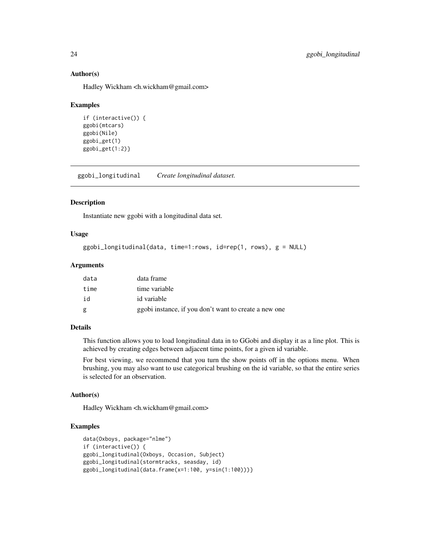#### Author(s)

Hadley Wickham <h.wickham@gmail.com>

#### Examples

```
if (interactive()) {
ggobi(mtcars)
ggobi(Nile)
ggobi_get(1)
ggobi_get(1:2)}
```
<span id="page-23-1"></span>ggobi\_longitudinal *Create longitudinal dataset.*

#### Description

Instantiate new ggobi with a longitudinal data set.

## Usage

```
ggobi_longitudinal(data, time=1:rows, id=rep(1, rows), g = NULL)
```
#### Arguments

| data | data frame                                            |
|------|-------------------------------------------------------|
| time | time variable                                         |
| id   | id variable                                           |
| g    | ggobi instance, if you don't want to create a new one |

## Details

This function allows you to load longitudinal data in to GGobi and display it as a line plot. This is achieved by creating edges between adjacent time points, for a given id variable.

For best viewing, we recommend that you turn the show points off in the options menu. When brushing, you may also want to use categorical brushing on the id variable, so that the entire series is selected for an observation.

#### Author(s)

Hadley Wickham <h.wickham@gmail.com>

```
data(Oxboys, package="nlme")
if (interactive()) {
ggobi_longitudinal(Oxboys, Occasion, Subject)
ggobi_longitudinal(stormtracks, seasday, id)
ggobi_longitudinal(data.frame(x=1:100, y=sin(1:100)))}
```
<span id="page-23-0"></span>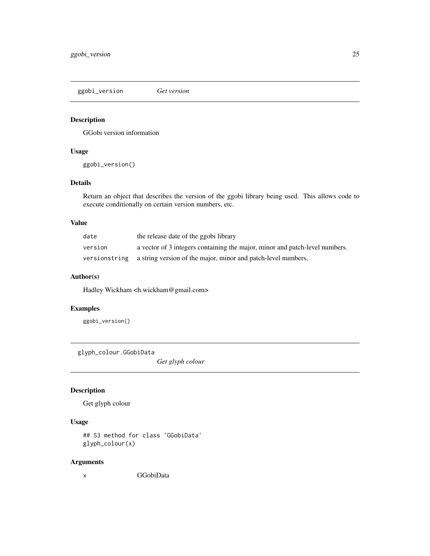<span id="page-24-0"></span>ggobi\_version *Get version*

## Description

GGobi version information

## Usage

ggobi\_version()

## Details

Return an object that describes the version of the ggobi library being used. This allows code to execute conditionally on certain version numbers, etc.

## Value

| date    | the release date of the ggobi library                                       |
|---------|-----------------------------------------------------------------------------|
| version | a vector of 3 integers containing the major, minor and patch-level numbers. |
|         | versionstring a string version of the major, minor and patch-level numbers, |

## Author(s)

Hadley Wickham <h.wickham@gmail.com>

## Examples

ggobi\_version()

glyph\_colour.GGobiData

*Get glyph colour*

## <span id="page-24-1"></span>Description

Get glyph colour

## Usage

```
## S3 method for class 'GGobiData'
glyph_colour(x)
```
## Arguments

x GGobiData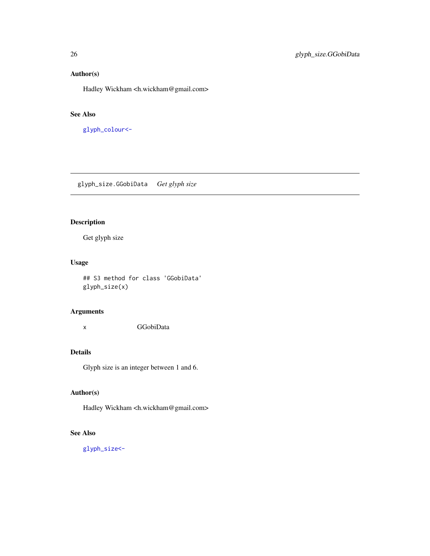## <span id="page-25-0"></span>Author(s)

Hadley Wickham <h.wickham@gmail.com>

## See Also

[glyph\\_colour<-](#page-5-1)

glyph\_size.GGobiData *Get glyph size*

## <span id="page-25-1"></span>Description

Get glyph size

## Usage

```
## S3 method for class 'GGobiData'
glyph_size(x)
```
## Arguments

x GGobiData

## Details

Glyph size is an integer between 1 and 6.

## Author(s)

Hadley Wickham <h.wickham@gmail.com>

## See Also

[glyph\\_size<-](#page-6-1)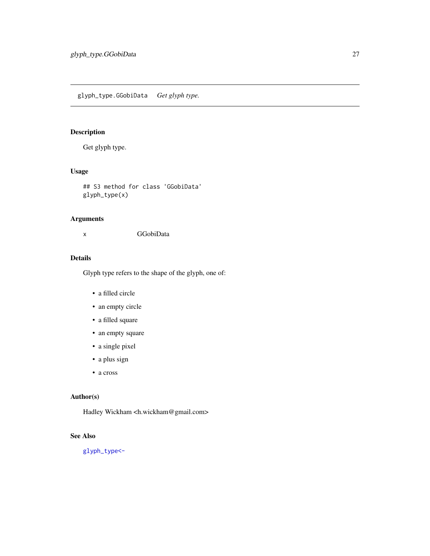## <span id="page-26-1"></span><span id="page-26-0"></span>Description

Get glyph type.

## Usage

```
## S3 method for class 'GGobiData'
glyph_type(x)
```
## Arguments

x GGobiData

## Details

Glyph type refers to the shape of the glyph, one of:

- a filled circle
- an empty circle
- a filled square
- an empty square
- a single pixel
- a plus sign
- a cross

## Author(s)

Hadley Wickham <h.wickham@gmail.com>

## See Also

[glyph\\_type<-](#page-7-1)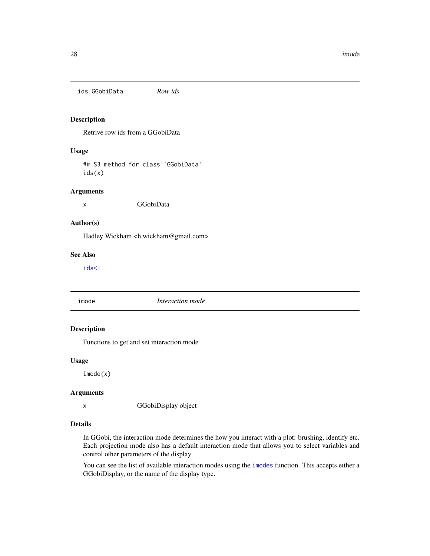<span id="page-27-0"></span>ids.GGobiData *Row ids*

## <span id="page-27-1"></span>Description

Retrive row ids from a GGobiData

## Usage

## S3 method for class 'GGobiData' ids(x)

## Arguments

x GGobiData

#### Author(s)

Hadley Wickham <h.wickham@gmail.com>

## See Also

[ids<-](#page-7-2)

imode *Interaction mode*

## Description

Functions to get and set interaction mode

#### Usage

imode(x)

#### Arguments

x GGobiDisplay object

## Details

In GGobi, the interaction mode determines the how you interact with a plot: brushing, identify etc. Each projection mode also has a default interaction mode that allows you to select variables and control other parameters of the display

You can see the list of available interaction modes using the [imodes](#page-0-0) function. This accepts either a GGobiDisplay, or the name of the display type.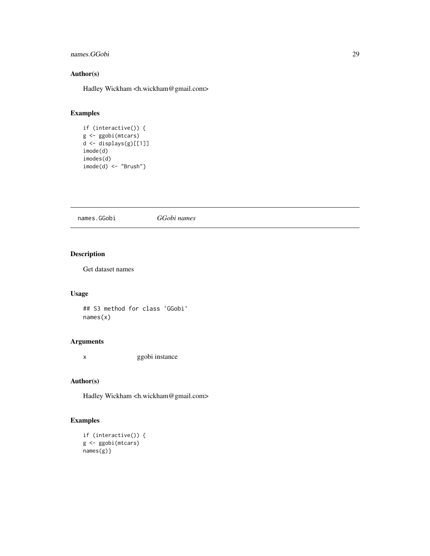## <span id="page-28-0"></span>names.GGobi 29

## Author(s)

Hadley Wickham <h.wickham@gmail.com>

## Examples

```
if (interactive()) {
g <- ggobi(mtcars)
d <- displays(g)[[1]]
imode(d)
imodes(d)
\text{imode}(d) \leq "Brush"}
```
names.GGobi *GGobi names*

## Description

Get dataset names

## Usage

```
## S3 method for class 'GGobi'
names(x)
```
## Arguments

x ggobi instance

## Author(s)

Hadley Wickham <h.wickham@gmail.com>

```
if (interactive()) {
g <- ggobi(mtcars)
names(g)}
```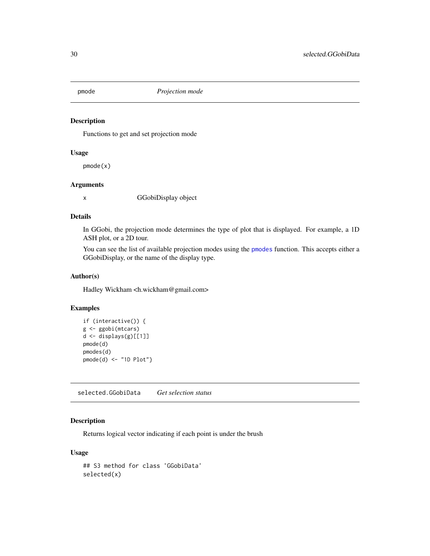<span id="page-29-0"></span>

## Description

Functions to get and set projection mode

#### Usage

pmode(x)

## Arguments

x GGobiDisplay object

## Details

In GGobi, the projection mode determines the type of plot that is displayed. For example, a 1D ASH plot, or a 2D tour.

You can see the list of available projection modes using the [pmodes](#page-0-0) function. This accepts either a GGobiDisplay, or the name of the display type.

#### Author(s)

Hadley Wickham <h.wickham@gmail.com>

## Examples

```
if (interactive()) {
g <- ggobi(mtcars)
d <- displays(g)[[1]]
pmode(d)
pmodes(d)
pmode(d) <- "1D Plot"}
```
selected.GGobiData *Get selection status*

## Description

Returns logical vector indicating if each point is under the brush

## Usage

```
## S3 method for class 'GGobiData'
selected(x)
```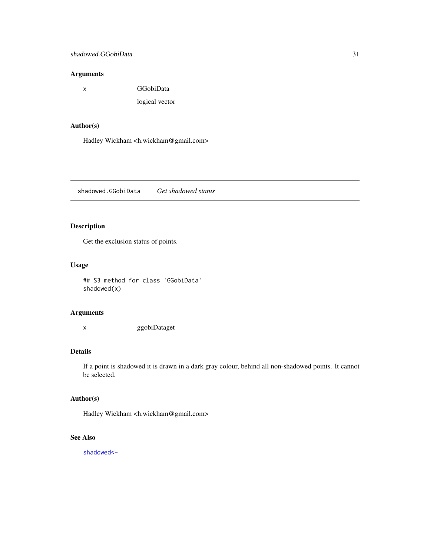## <span id="page-30-0"></span>Arguments

x GGobiData logical vector

## Author(s)

Hadley Wickham <h.wickham@gmail.com>

shadowed.GGobiData *Get shadowed status*

## <span id="page-30-1"></span>Description

Get the exclusion status of points.

## Usage

## S3 method for class 'GGobiData' shadowed(x)

## Arguments

x ggobiDataget

## Details

If a point is shadowed it is drawn in a dark gray colour, behind all non-shadowed points. It cannot be selected.

## Author(s)

Hadley Wickham <h.wickham@gmail.com>

## See Also

[shadowed<-](#page-8-1)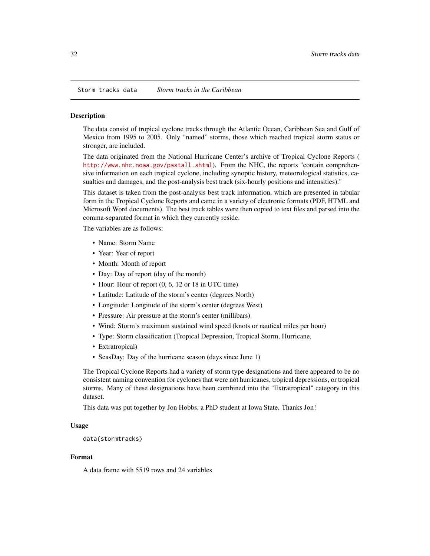<span id="page-31-0"></span>Storm tracks data *Storm tracks in the Caribbean*

## Description

The data consist of tropical cyclone tracks through the Atlantic Ocean, Caribbean Sea and Gulf of Mexico from 1995 to 2005. Only "named" storms, those which reached tropical storm status or stronger, are included.

The data originated from the National Hurricane Center's archive of Tropical Cyclone Reports ( <http://www.nhc.noaa.gov/pastall.shtml>). From the NHC, the reports "contain comprehensive information on each tropical cyclone, including synoptic history, meteorological statistics, casualties and damages, and the post-analysis best track (six-hourly positions and intensities)."

This dataset is taken from the post-analysis best track information, which are presented in tabular form in the Tropical Cyclone Reports and came in a variety of electronic formats (PDF, HTML and Microsoft Word documents). The best track tables were then copied to text files and parsed into the comma-separated format in which they currently reside.

The variables are as follows:

- Name: Storm Name
- Year: Year of report
- Month: Month of report
- Day: Day of report (day of the month)
- Hour: Hour of report  $(0, 6, 12 \text{ or } 18 \text{ in UTC time})$
- Latitude: Latitude of the storm's center (degrees North)
- Longitude: Longitude of the storm's center (degrees West)
- Pressure: Air pressure at the storm's center (millibars)
- Wind: Storm's maximum sustained wind speed (knots or nautical miles per hour)
- Type: Storm classification (Tropical Depression, Tropical Storm, Hurricane,
- Extratropical)
- SeasDay: Day of the hurricane season (days since June 1)

The Tropical Cyclone Reports had a variety of storm type designations and there appeared to be no consistent naming convention for cyclones that were not hurricanes, tropical depressions, or tropical storms. Many of these designations have been combined into the "Extratropical" category in this dataset.

This data was put together by Jon Hobbs, a PhD student at Iowa State. Thanks Jon!

#### Usage

data(stormtracks)

#### Format

A data frame with 5519 rows and 24 variables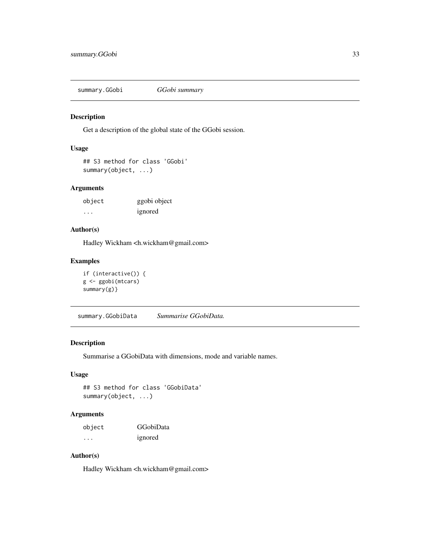<span id="page-32-0"></span>summary.GGobi *GGobi summary*

#### Description

Get a description of the global state of the GGobi session.

#### Usage

```
## S3 method for class 'GGobi'
summary(object, ...)
```
## Arguments

| object | ggobi object |
|--------|--------------|
| .      | ignored      |

## Author(s)

Hadley Wickham <h.wickham@gmail.com>

## Examples

```
if (interactive()) {
g <- ggobi(mtcars)
summary(g)}
```
summary.GGobiData *Summarise GGobiData.*

## Description

Summarise a GGobiData with dimensions, mode and variable names.

## Usage

```
## S3 method for class 'GGobiData'
summary(object, ...)
```
## Arguments

| object | GGobiData |
|--------|-----------|
| .      | ignored   |

## Author(s)

Hadley Wickham <h.wickham@gmail.com>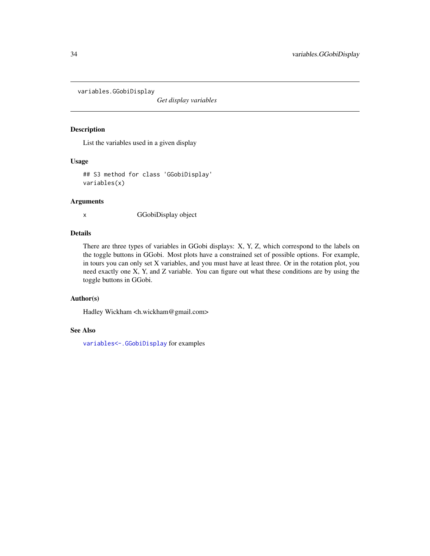<span id="page-33-1"></span><span id="page-33-0"></span>variables.GGobiDisplay

*Get display variables*

#### Description

List the variables used in a given display

## Usage

## S3 method for class 'GGobiDisplay' variables(x)

#### Arguments

x GGobiDisplay object

#### Details

There are three types of variables in GGobi displays: X, Y, Z, which correspond to the labels on the toggle buttons in GGobi. Most plots have a constrained set of possible options. For example, in tours you can only set X variables, and you must have at least three. Or in the rotation plot, you need exactly one X, Y, and Z variable. You can figure out what these conditions are by using the toggle buttons in GGobi.

#### Author(s)

Hadley Wickham <h.wickham@gmail.com>

#### See Also

[variables<-.GGobiDisplay](#page-9-1) for examples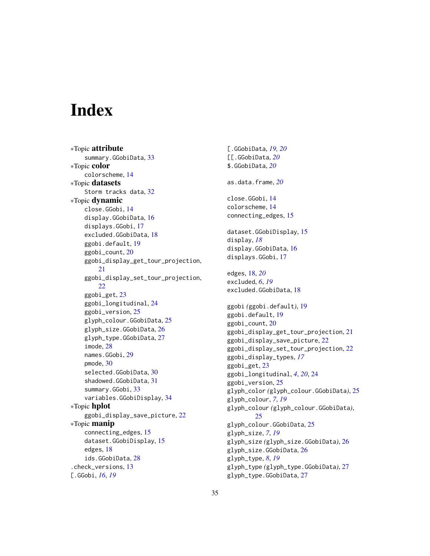# <span id="page-34-0"></span>**Index**

∗Topic attribute summary.GGobiData, [33](#page-32-0) ∗Topic color colorscheme, [14](#page-13-0) ∗Topic datasets Storm tracks data, [32](#page-31-0) ∗Topic dynamic close.GGobi, [14](#page-13-0) display.GGobiData, [16](#page-15-0) displays.GGobi, [17](#page-16-0) excluded.GGobiData, [18](#page-17-0) ggobi.default, [19](#page-18-0) ggobi\_count, [20](#page-19-0) ggobi\_display\_get\_tour\_projection, [21](#page-20-0) ggobi\_display\_set\_tour\_projection, [22](#page-21-0) ggobi\_get, [23](#page-22-0) ggobi\_longitudinal, [24](#page-23-0) ggobi\_version, [25](#page-24-0) glyph\_colour.GGobiData, [25](#page-24-0) glyph\_size.GGobiData, [26](#page-25-0) glyph\_type.GGobiData, [27](#page-26-0) imode, [28](#page-27-0) names.GGobi, [29](#page-28-0) pmode, [30](#page-29-0) selected.GGobiData, [30](#page-29-0) shadowed.GGobiData, [31](#page-30-0) summary.GGobi, [33](#page-32-0) variables.GGobiDisplay, [34](#page-33-0) ∗Topic hplot ggobi\_display\_save\_picture, [22](#page-21-0) ∗Topic manip connecting\_edges, [15](#page-14-0) dataset.GGobiDisplay, [15](#page-14-0) edges, [18](#page-17-0) ids.GGobiData, [28](#page-27-0) .check\_versions, [13](#page-12-0) [.GGobi, *[16](#page-15-0)*, *[19](#page-18-0)*

[.GGobiData, *[19,](#page-18-0) [20](#page-19-0)* [[.GGobiData, *[20](#page-19-0)* \$.GGobiData, *[20](#page-19-0)* as.data.frame, *[20](#page-19-0)* close.GGobi, [14](#page-13-0) colorscheme, [14](#page-13-0) connecting\_edges, [15](#page-14-0) dataset.GGobiDisplay, [15](#page-14-0) display, *[18](#page-17-0)* display.GGobiData, [16](#page-15-0) displays.GGobi, [17](#page-16-0) edges, [18,](#page-17-0) *[20](#page-19-0)* excluded, *[6](#page-5-0)*, *[19](#page-18-0)* excluded.GGobiData, [18](#page-17-0) ggobi *(*ggobi.default*)*, [19](#page-18-0) ggobi.default, [19](#page-18-0) ggobi\_count, [20](#page-19-0) ggobi\_display\_get\_tour\_projection, [21](#page-20-0) ggobi\_display\_save\_picture, [22](#page-21-0) ggobi\_display\_set\_tour\_projection, [22](#page-21-0) ggobi\_display\_types, *[17](#page-16-0)* ggobi\_get, [23](#page-22-0) ggobi\_longitudinal, *[4](#page-3-0)*, *[20](#page-19-0)*, [24](#page-23-0) ggobi\_version, [25](#page-24-0) glyph\_color *(*glyph\_colour.GGobiData*)*, [25](#page-24-0) glyph\_colour, *[7](#page-6-0)*, *[19](#page-18-0)* glyph\_colour *(*glyph\_colour.GGobiData*)*, [25](#page-24-0) glyph\_colour.GGobiData, [25](#page-24-0) glyph\_size, *[7](#page-6-0)*, *[19](#page-18-0)* glyph\_size *(*glyph\_size.GGobiData*)*, [26](#page-25-0) glyph\_size.GGobiData, [26](#page-25-0) glyph\_type, *[8](#page-7-0)*, *[19](#page-18-0)* glyph\_type *(*glyph\_type.GGobiData*)*, [27](#page-26-0) glyph\_type.GGobiData, [27](#page-26-0)